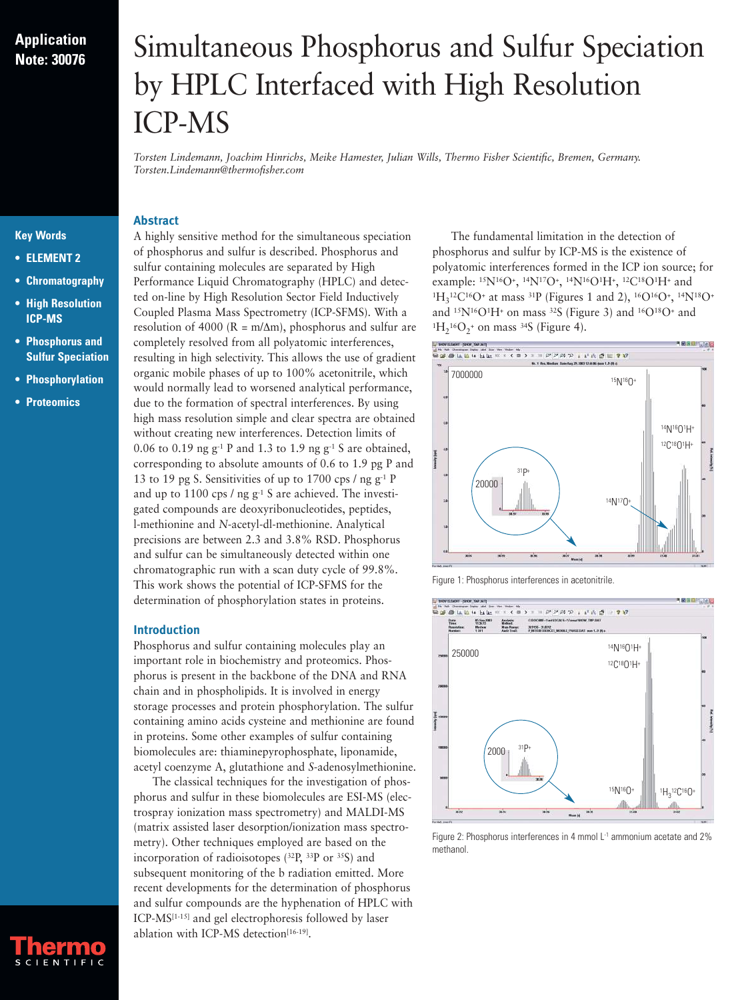# **Application Note: 30076**

# Simultaneous Phosphorus and Sulfur Speciation by HPLC Interfaced with High Resolution ICP-MS

*Torsten Lindemann, Joachim Hinrichs, Meike Hamester, Julian Wills, Thermo Fisher Scientific, Bremen, Germany. Torsten.Lindemann@thermofisher.com*

# **Key Words**

- **ELEMENT 2**
- **Chromatography**
- **High Resolution ICP-MS**
- **Phosphorus and Sulfur Speciation**
- **Phosphorylation**
- **Proteomics**

A highly sensitive method for the simultaneous speciation of phosphorus and sulfur is described. Phosphorus and sulfur containing molecules are separated by High Performance Liquid Chromatography (HPLC) and detected on-line by High Resolution Sector Field Inductively Coupled Plasma Mass Spectrometry (ICP-SFMS). With a resolution of 4000 ( $R = m/\Delta m$ ), phosphorus and sulfur are completely resolved from all polyatomic interferences, resulting in high selectivity. This allows the use of gradient organic mobile phases of up to 100% acetonitrile, which would normally lead to worsened analytical performance, due to the formation of spectral interferences. By using high mass resolution simple and clear spectra are obtained without creating new interferences. Detection limits of 0.06 to 0.19 ng  $g^{-1}$  P and 1.3 to 1.9 ng  $g^{-1}$  S are obtained, corresponding to absolute amounts of 0.6 to 1.9 pg P and 13 to 19 pg S. Sensitivities of up to 1700 cps  $/$  ng g<sup>-1</sup> P and up to 1100 cps / ng g<sup>-1</sup> S are achieved. The investigated compounds are deoxyribonucleotides, peptides, l-methionine and *N*-acetyl-dl-methionine. Analytical precisions are between 2.3 and 3.8% RSD. Phosphorus and sulfur can be simultaneously detected within one chromatographic run with a scan duty cycle of 99.8%. This work shows the potential of ICP-SFMS for the determination of phosphorylation states in proteins.

#### **Introduction**

**Abstract**

Phosphorus and sulfur containing molecules play an important role in biochemistry and proteomics. Phosphorus is present in the backbone of the DNA and RNA chain and in phospholipids. It is involved in energy storage processes and protein phosphorylation. The sulfur containing amino acids cysteine and methionine are found in proteins. Some other examples of sulfur containing biomolecules are: thiaminepyrophosphate, liponamide, acetyl coenzyme A, glutathione and *S*-adenosylmethionine.

The classical techniques for the investigation of phosphorus and sulfur in these biomolecules are ESI-MS (electrospray ionization mass spectrometry) and MALDI-MS (matrix assisted laser desorption/ionization mass spectrometry). Other techniques employed are based on the incorporation of radioisotopes (32P, 33P or 35S) and subsequent monitoring of the b radiation emitted. More recent developments for the determination of phosphorus and sulfur compounds are the hyphenation of HPLC with ICP-MS[1-15] and gel electrophoresis followed by laser ablation with ICP-MS detection<sup>[16-19]</sup>.

The fundamental limitation in the detection of phosphorus and sulfur by ICP-MS is the existence of polyatomic interferences formed in the ICP ion source; for example:  $^{15}N^{16}O^+$ ,  $^{14}N^{17}O^+$ ,  $^{14}N^{16}O^1H^+$ ,  $^{12}C^{18}O^1H^+$  and  $^{1}H_{3}^{12}C^{16}O^{+}$  at mass  $^{31}P$  (Figures 1 and 2),  $^{16}O^{16}O^{+}$ ,  $^{14}N^{18}O^{+}$ and  $15N^{16}O^1H^+$  on mass  $32S$  (Figure 3) and  $16O^18O^+$  and  ${}^{1}H_{2}{}^{16}O_{2}{}^{+}$  on mass  ${}^{34}S$  (Figure 4).



Figure 1: Phosphorus interferences in acetonitrile.



Figure 2: Phosphorus interferences in 4 mmol L<sup>-1</sup> ammonium acetate and 2% methanol.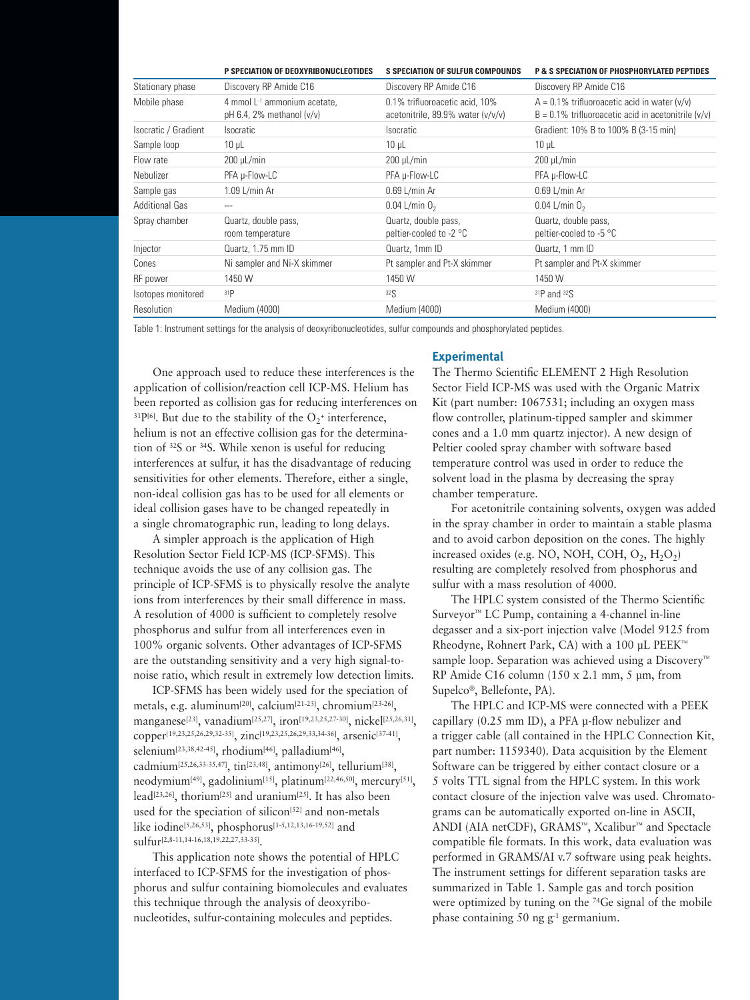|                       | P SPECIATION OF DEOXYRIBONUCLEOTIDES                                    | <b>S SPECIATION OF SULFUR COMPOUNDS</b>                             | <b>P &amp; S SPECIATION OF PHOSPHORYLATED PEPTIDES</b>                                                        |
|-----------------------|-------------------------------------------------------------------------|---------------------------------------------------------------------|---------------------------------------------------------------------------------------------------------------|
| Stationary phase      | Discovery RP Amide C16                                                  | Discovery RP Amide C16                                              | Discovery RP Amide C16                                                                                        |
| Mobile phase          | 4 mmol L <sup>-1</sup> ammonium acetate.<br>pH 6.4, 2% methanol $(v/v)$ | 0.1% trifluoroacetic acid. 10%<br>acetonitrile, 89.9% water (v/v/v) | $A = 0.1\%$ trifluoroacetic acid in water $(v/v)$<br>$B = 0.1\%$ trifluoroacetic acid in acetonitrile $(v/v)$ |
| Isocratic / Gradient  | <i>Isocratic</i>                                                        | <i>socratic</i>                                                     | Gradient: 10% B to 100% B (3-15 min)                                                                          |
| Sample loop           | $10 \mu L$                                                              | $10 \mu L$                                                          | $10 \mu L$                                                                                                    |
| Flow rate             | $200 \mu L/min$                                                         | $200 \mu L/min$                                                     | $200 \mu$ L/min                                                                                               |
| Nebulizer             | PFA µ-Flow-LC                                                           | PFA µ-Flow-LC                                                       | PFA µ-Flow-LC                                                                                                 |
| Sample gas            | $1.09$ L/min Ar                                                         | 0.69 L/min Ar                                                       | 0.69 L/min Ar                                                                                                 |
| <b>Additional Gas</b> | $- - -$                                                                 | 0.04 L/min $02$                                                     | 0.04 L/min $02$                                                                                               |
| Spray chamber         | Quartz, double pass,<br>room temperature                                | Quartz, double pass,<br>peltier-cooled to -2 °C                     | Quartz, double pass,<br>peltier-cooled to -5 °C                                                               |
| Injector              | Quartz, 1.75 mm ID                                                      | Quartz, 1mm ID                                                      | Quartz, 1 mm ID                                                                                               |
| Cones                 | Ni sampler and Ni-X skimmer                                             | Pt sampler and Pt-X skimmer                                         | Pt sampler and Pt-X skimmer                                                                                   |
| RF power              | 1450 W                                                                  | 1450 W                                                              | 1450 W                                                                                                        |
| Isotopes monitored    | 31P                                                                     | 32 <sub>S</sub>                                                     | $31P$ and $32S$                                                                                               |
| Resolution            | Medium (4000)                                                           | Medium (4000)                                                       | Medium (4000)                                                                                                 |

Table 1: Instrument settings for the analysis of deoxyribonucleotides, sulfur compounds and phosphorylated peptides.

One approach used to reduce these interferences is the application of collision/reaction cell ICP-MS. Helium has been reported as collision gas for reducing interferences on <sup>31</sup>P<sup>[6]</sup>. But due to the stability of the  $O_2$ <sup>+</sup> interference, helium is not an effective collision gas for the determination of 32S or 34S. While xenon is useful for reducing interferences at sulfur, it has the disadvantage of reducing sensitivities for other elements. Therefore, either a single, non-ideal collision gas has to be used for all elements or ideal collision gases have to be changed repeatedly in a single chromatographic run, leading to long delays.

A simpler approach is the application of High Resolution Sector Field ICP-MS (ICP-SFMS). This technique avoids the use of any collision gas. The principle of ICP-SFMS is to physically resolve the analyte ions from interferences by their small difference in mass. A resolution of 4000 is sufficient to completely resolve phosphorus and sulfur from all interferences even in 100% organic solvents. Other advantages of ICP-SFMS are the outstanding sensitivity and a very high signal-tonoise ratio, which result in extremely low detection limits.

ICP-SFMS has been widely used for the speciation of metals, e.g. aluminum[20], calcium[21-23], chromium[23-26], manganese<sup>[23]</sup>, vanadium<sup>[25,27]</sup>, iron<sup>[19,23,25,27-30]</sup>, nicke<sup>[[25,26,31]</sup>, copper[19,23,25,26,29,32-35], zinc[19,23,25,26,29,33,34-36], arsenic[37-41], selenium<sup>[23,38,42-45]</sup>, rhodium<sup>[46]</sup>, palladium<sup>[46]</sup>, cadmium<sup>[25,26,33-35,47]</sup>, tin<sup>[23,48]</sup>, antimony<sup>[26]</sup>, tellurium<sup>[38]</sup>, neodymium[49], gadolinium[15], platinum[22,46,50], mercury[51], lead<sup>[23,26]</sup>, thorium<sup>[25]</sup> and uranium<sup>[25]</sup>. It has also been used for the speciation of silicon<sup>[52]</sup> and non-metals like iodine[5,26,53], phosphorus[1-5,12,13,16-19,52] and sulfur[2,8-11,14-16,18,19,22,27,33-35].

This application note shows the potential of HPLC interfaced to ICP-SFMS for the investigation of phosphorus and sulfur containing biomolecules and evaluates this technique through the analysis of deoxyribonucleotides, sulfur-containing molecules and peptides.

#### **Experimental**

The Thermo Scientific ELEMENT 2 High Resolution Sector Field ICP-MS was used with the Organic Matrix Kit (part number: 1067531; including an oxygen mass flow controller, platinum-tipped sampler and skimmer cones and a 1.0 mm quartz injector). A new design of Peltier cooled spray chamber with software based temperature control was used in order to reduce the solvent load in the plasma by decreasing the spray chamber temperature.

For acetonitrile containing solvents, oxygen was added in the spray chamber in order to maintain a stable plasma and to avoid carbon deposition on the cones. The highly increased oxides (e.g. NO, NOH, COH,  $O_2$ ,  $H_2O_2$ ) resulting are completely resolved from phosphorus and sulfur with a mass resolution of 4000.

The HPLC system consisted of the Thermo Scientific Surveyor™ LC Pump, containing a 4-channel in-line degasser and a six-port injection valve (Model 9125 from Rheodyne, Rohnert Park, CA) with a 100 µL PEEK™ sample loop. Separation was achieved using a Discovery™ RP Amide C16 column (150 x 2.1 mm, 5 µm, from Supelco®, Bellefonte, PA).

The HPLC and ICP-MS were connected with a PEEK capillary (0.25 mm ID), a PFA µ-flow nebulizer and a trigger cable (all contained in the HPLC Connection Kit, part number: 1159340). Data acquisition by the Element Software can be triggered by either contact closure or a 5 volts TTL signal from the HPLC system. In this work contact closure of the injection valve was used. Chromatograms can be automatically exported on-line in ASCII, ANDI (AIA netCDF), GRAMS™, Xcalibur™ and Spectacle compatible file formats. In this work, data evaluation was performed in GRAMS/AI v.7 software using peak heights. The instrument settings for different separation tasks are summarized in Table 1. Sample gas and torch position were optimized by tuning on the <sup>74</sup>Ge signal of the mobile phase containing 50 ng g-1 germanium.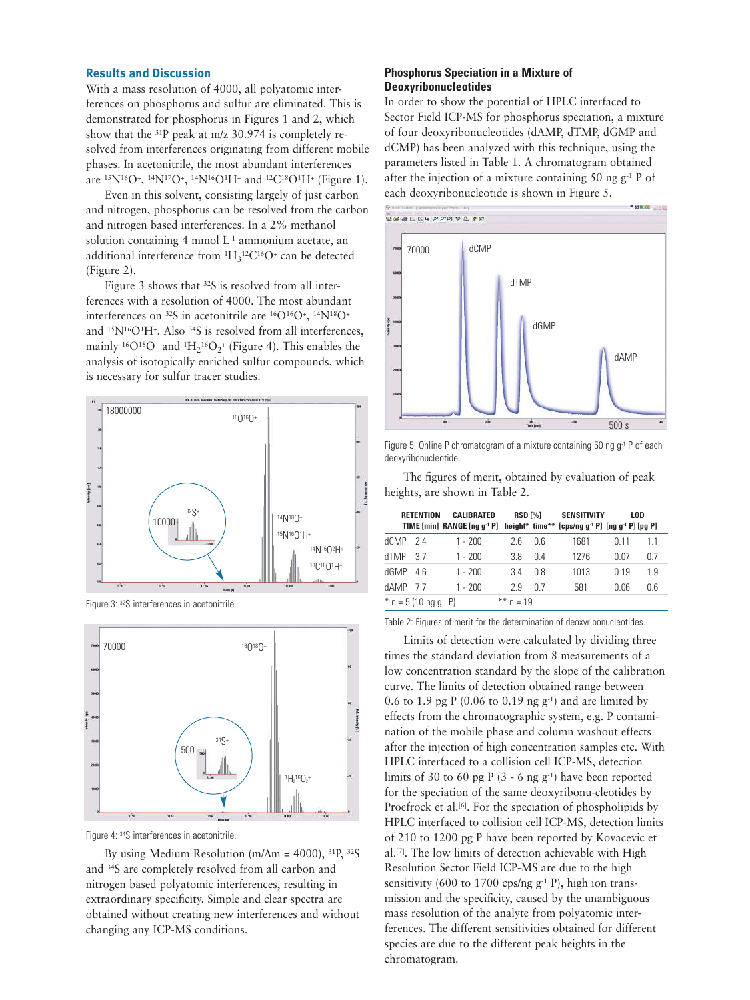#### **Results and Discussion**

With a mass resolution of 4000, all polyatomic interferences on phosphorus and sulfur are eliminated. This is demonstrated for phosphorus in Figures 1 and 2, which show that the 31P peak at m/z 30.974 is completely resolved from interferences originating from different mobile phases. In acetonitrile, the most abundant interferences are 15N16O+, 14N17O+, 14N16O1H+ and 12C18O1H+ (Figure 1).

Even in this solvent, consisting largely of just carbon and nitrogen, phosphorus can be resolved from the carbon and nitrogen based interferences. In a 2% methanol solution containing 4 mmol  $L<sup>1</sup>$  ammonium acetate, an additional interference from  ${}^{1}H_{3}{}^{12}C^{16}O^{+}$  can be detected (Figure 2).

Figure 3 shows that <sup>32</sup>S is resolved from all interferences with a resolution of 4000. The most abundant interferences on 32S in acetonitrile are 16O16O+, 14N18O+ and <sup>15</sup>N<sup>16</sup>O<sup>1</sup>H<sup>+</sup>. Also <sup>34</sup>S is resolved from all interferences, mainly <sup>16</sup>O<sup>18</sup>O<sup>+</sup> and <sup>1</sup>H<sub>2</sub><sup>16</sup>O<sub>2</sub><sup>+</sup> (Figure 4). This enables the analysis of isotopically enriched sulfur compounds, which is necessary for sulfur tracer studies.



Figure 3: 32S interferences in acetonitrile.



Figure 4: 34S interferences in acetonitrile.

By using Medium Resolution (m/ $\Delta$ m = 4000), <sup>31</sup>P, <sup>32</sup>S and 34S are completely resolved from all carbon and nitrogen based polyatomic interferences, resulting in extraordinary specificity. Simple and clear spectra are obtained without creating new interferences and without changing any ICP-MS conditions.

# **Phosphorus Speciation in a Mixture of Deoxyribonucleotides**

In order to show the potential of HPLC interfaced to Sector Field ICP-MS for phosphorus speciation, a mixture of four deoxyribonucleotides (dAMP, dTMP, dGMP and dCMP) has been analyzed with this technique, using the parameters listed in Table 1. A chromatogram obtained after the injection of a mixture containing 50 ng  $g^{-1}$  P of each deoxyribonucleotide is shown in Figure 5.



Figure 5: Online P chromatogram of a mixture containing 50 ng g<sup>-1</sup> P of each deoxyribonucleotide.

The figures of merit, obtained by evaluation of peak heights, are shown in Table 2.

|      | <b>RETENTION</b>                        | CALIBRATED<br>TIME [min] RANGE [ng q <sup>-1</sup> P] height* time** | RSD [%]     |     | <b>SENSITIVITY</b><br>$[cps/ng g^{-1} P]$ $[ng g^{-1} P]$ $[pg P]$ |      | LOD |
|------|-----------------------------------------|----------------------------------------------------------------------|-------------|-----|--------------------------------------------------------------------|------|-----|
| dCMP | 24                                      | $1 - 200$                                                            | 26          | 0 G | 1681                                                               | n 11 | 11  |
| dTMP | 37                                      | 1 - 200                                                              | 38          | 0 4 | 1276                                                               | 0.07 | 07  |
| dGMP | 46                                      | $1 - 200$                                                            | 34          | 0 8 | 1013                                                               | 019  | 19  |
| dAMP | - 7 7                                   | $1 - 200$                                                            | 29          | በ 7 | 581                                                                | 0.06 | 0.6 |
|      | $n = 5(10 \text{ ng g}^{-1} \text{ P})$ |                                                                      | $** n = 19$ |     |                                                                    |      |     |

Table 2: Figures of merit for the determination of deoxyribonucleotides.

Limits of detection were calculated by dividing three times the standard deviation from 8 measurements of a low concentration standard by the slope of the calibration curve. The limits of detection obtained range between 0.6 to 1.9 pg P (0.06 to 0.19 ng g-1) and are limited by effects from the chromatographic system, e.g. P contamination of the mobile phase and column washout effects after the injection of high concentration samples etc. With HPLC interfaced to a collision cell ICP-MS, detection limits of 30 to 60 pg P  $(3 - 6$  ng g<sup>-1</sup>) have been reported for the speciation of the same deoxyribonu-cleotides by Proefrock et al.<sup>[6]</sup>. For the speciation of phospholipids by HPLC interfaced to collision cell ICP-MS, detection limits of 210 to 1200 pg P have been reported by Kovacevic et al.[7]. The low limits of detection achievable with High Resolution Sector Field ICP-MS are due to the high sensitivity (600 to 1700 cps/ng  $g^{-1}$  P), high ion transmission and the specificity, caused by the unambiguous mass resolution of the analyte from polyatomic interferences. The different sensitivities obtained for different species are due to the different peak heights in the chromatogram.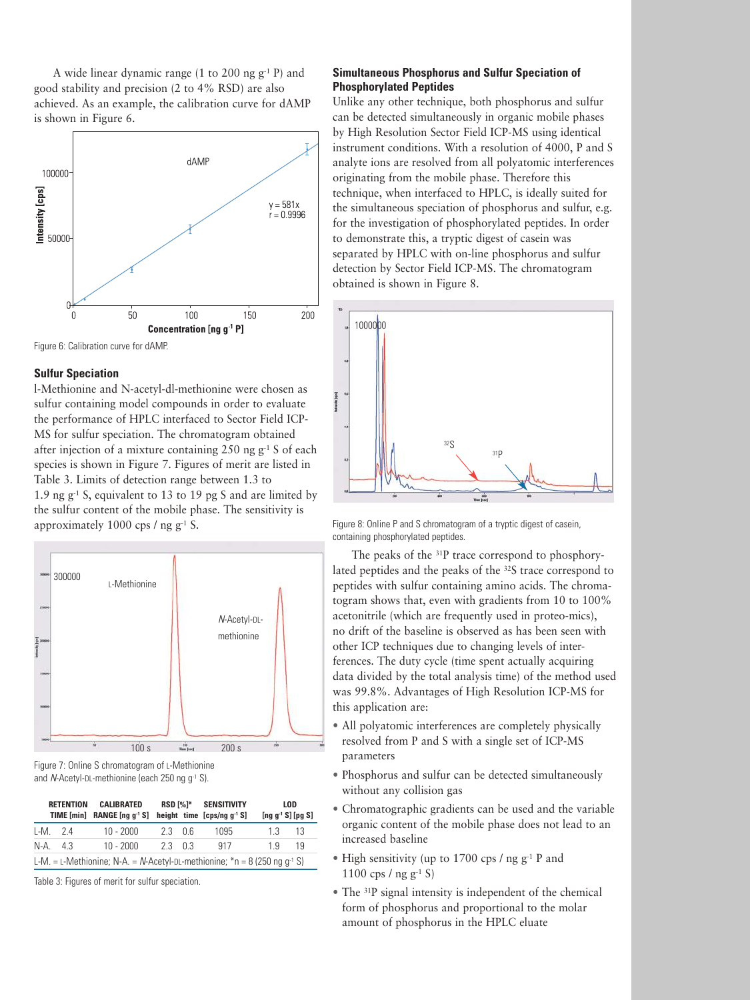A wide linear dynamic range (1 to 200 ng  $g^{-1}$  P) and good stability and precision (2 to 4% RSD) are also achieved. As an example, the calibration curve for dAMP is shown in Figure 6.





#### **Sulfur Speciation**

l-Methionine and N-acetyl-dl-methionine were chosen as sulfur containing model compounds in order to evaluate the performance of HPLC interfaced to Sector Field ICP-MS for sulfur speciation. The chromatogram obtained after injection of a mixture containing  $250$  ng g<sup>-1</sup> S of each species is shown in Figure 7. Figures of merit are listed in Table 3. Limits of detection range between 1.3 to 1.9 ng  $g^{-1}$  S, equivalent to 13 to 19 pg S and are limited by the sulfur content of the mobile phase. The sensitivity is approximately 1000 cps / ng  $g^{-1}$  S.



Figure 7: Online S chromatogram of L-Methionine and N-Acetyl-DL-methionine (each 250 ng g<sup>-1</sup> S).

|                                                                                       | <b>RETENTION</b> | CALIBRATED<br><b>TIME</b> [min] <b>RANGE</b> [ng $q^{-1}S$ ] |        |  | RSD [%]* SENSITIVITY<br>height time $[cps/nq q^{-1} S]$ | [ng $g^{-1}$ S] [pg S] | LOD |
|---------------------------------------------------------------------------------------|------------------|--------------------------------------------------------------|--------|--|---------------------------------------------------------|------------------------|-----|
|                                                                                       | LM. 2.4          | $10 - 2000$                                                  | 23 O.G |  | 1095                                                    | 1.3                    | -13 |
|                                                                                       | $N-A.$ 4.3       | $10 - 2000$                                                  | 23 03  |  | 917                                                     | 19                     | 19  |
| L-M. = L-Methionine; N-A. = N-Acetyl-DL-methionine; $m = 8 (250 \text{ nq q}^{-1} S)$ |                  |                                                              |        |  |                                                         |                        |     |

Table 3: Figures of merit for sulfur speciation.

# **Simultaneous Phosphorus and Sulfur Speciation of Phosphorylated Peptides**

Unlike any other technique, both phosphorus and sulfur can be detected simultaneously in organic mobile phases by High Resolution Sector Field ICP-MS using identical instrument conditions. With a resolution of 4000, P and S analyte ions are resolved from all polyatomic interferences originating from the mobile phase. Therefore this technique, when interfaced to HPLC, is ideally suited for the simultaneous speciation of phosphorus and sulfur, e.g. for the investigation of phosphorylated peptides. In order to demonstrate this, a tryptic digest of casein was separated by HPLC with on-line phosphorus and sulfur detection by Sector Field ICP-MS. The chromatogram obtained is shown in Figure 8.



Figure 8: Online P and S chromatogram of a tryptic digest of casein, containing phosphorylated peptides.

The peaks of the 31P trace correspond to phosphorylated peptides and the peaks of the 32S trace correspond to peptides with sulfur containing amino acids. The chromatogram shows that, even with gradients from 10 to 100% acetonitrile (which are frequently used in proteo-mics), no drift of the baseline is observed as has been seen with other ICP techniques due to changing levels of interferences. The duty cycle (time spent actually acquiring data divided by the total analysis time) of the method used was 99.8%. Advantages of High Resolution ICP-MS for this application are:

- All polyatomic interferences are completely physically resolved from P and S with a single set of ICP-MS parameters
- Phosphorus and sulfur can be detected simultaneously without any collision gas
- Chromatographic gradients can be used and the variable organic content of the mobile phase does not lead to an increased baseline
- High sensitivity (up to 1700 cps / ng g-1 P and 1100 cps / ng g<sup>-1</sup> S)
- The 31P signal intensity is independent of the chemical form of phosphorus and proportional to the molar amount of phosphorus in the HPLC eluate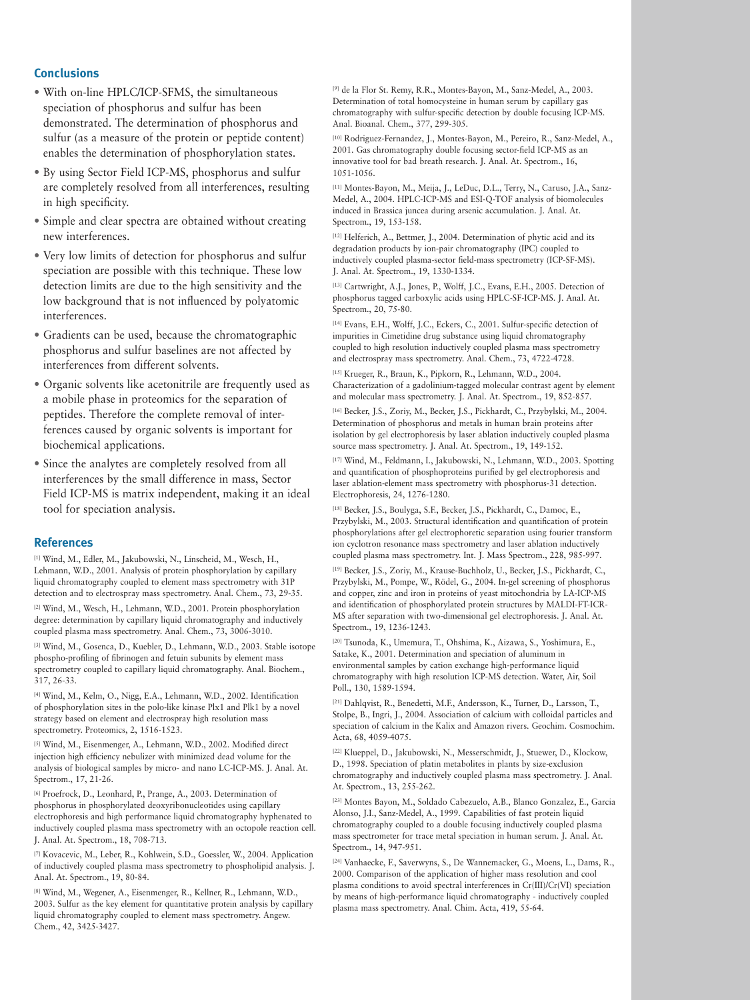# **Conclusions**

- With on-line HPLC/ICP-SFMS, the simultaneous speciation of phosphorus and sulfur has been demonstrated. The determination of phosphorus and sulfur (as a measure of the protein or peptide content) enables the determination of phosphorylation states.
- By using Sector Field ICP-MS, phosphorus and sulfur are completely resolved from all interferences, resulting in high specificity.
- Simple and clear spectra are obtained without creating new interferences.
- Very low limits of detection for phosphorus and sulfur speciation are possible with this technique. These low detection limits are due to the high sensitivity and the low background that is not influenced by polyatomic interferences.
- Gradients can be used, because the chromatographic phosphorus and sulfur baselines are not affected by interferences from different solvents.
- Organic solvents like acetonitrile are frequently used as a mobile phase in proteomics for the separation of peptides. Therefore the complete removal of interferences caused by organic solvents is important for biochemical applications.
- Since the analytes are completely resolved from all interferences by the small difference in mass, Sector Field ICP-MS is matrix independent, making it an ideal tool for speciation analysis.

#### **References**

[1] Wind, M., Edler, M., Jakubowski, N., Linscheid, M., Wesch, H., Lehmann, W.D., 2001. Analysis of protein phosphorylation by capillary liquid chromatography coupled to element mass spectrometry with 31P detection and to electrospray mass spectrometry. Anal. Chem., 73, 29-35.

[2] Wind, M., Wesch, H., Lehmann, W.D., 2001. Protein phosphorylation degree: determination by capillary liquid chromatography and inductively coupled plasma mass spectrometry. Anal. Chem., 73, 3006-3010.

[3] Wind, M., Gosenca, D., Kuebler, D., Lehmann, W.D., 2003. Stable isotope phospho-profiling of fibrinogen and fetuin subunits by element mass spectrometry coupled to capillary liquid chromatography. Anal. Biochem., 317, 26-33.

[4] Wind, M., Kelm, O., Nigg, E.A., Lehmann, W.D., 2002. Identification of phosphorylation sites in the polo-like kinase Plx1 and Plk1 by a novel strategy based on element and electrospray high resolution mass spectrometry. Proteomics, 2, 1516-1523.

[5] Wind, M., Eisenmenger, A., Lehmann, W.D., 2002. Modified direct injection high efficiency nebulizer with minimized dead volume for the analysis of biological samples by micro- and nano LC-ICP-MS. J. Anal. At. Spectrom., 17, 21-26.

[6] Proefrock, D., Leonhard, P., Prange, A., 2003. Determination of phosphorus in phosphorylated deoxyribonucleotides using capillary electrophoresis and high performance liquid chromatography hyphenated to inductively coupled plasma mass spectrometry with an octopole reaction cell. J. Anal. At. Spectrom., 18, 708-713.

[7] Kovacevic, M., Leber, R., Kohlwein, S.D., Goessler, W., 2004. Application of inductively coupled plasma mass spectrometry to phospholipid analysis. J. Anal. At. Spectrom., 19, 80-84.

[8] Wind, M., Wegener, A., Eisenmenger, R., Kellner, R., Lehmann, W.D., 2003. Sulfur as the key element for quantitative protein analysis by capillary liquid chromatography coupled to element mass spectrometry. Angew. Chem., 42, 3425-3427.

[9] de la Flor St. Remy, R.R., Montes-Bayon, M., Sanz-Medel, A., 2003. Determination of total homocysteine in human serum by capillary gas chromatography with sulfur-specific detection by double focusing ICP-MS. Anal. Bioanal. Chem., 377, 299-305.

[10] Rodriguez-Fernandez, J., Montes-Bayon, M., Pereiro, R., Sanz-Medel, A., 2001. Gas chromatography double focusing sector-field ICP-MS as an innovative tool for bad breath research. J. Anal. At. Spectrom., 16, 1051-1056.

[11] Montes-Bayon, M., Meija, J., LeDuc, D.L., Terry, N., Caruso, J.A., Sanz-Medel, A., 2004. HPLC-ICP-MS and ESI-Q-TOF analysis of biomolecules induced in Brassica juncea during arsenic accumulation. J. Anal. At. Spectrom., 19, 153-158.

[12] Helferich, A., Bettmer, J., 2004. Determination of phytic acid and its degradation products by ion-pair chromatography (IPC) coupled to inductively coupled plasma-sector field-mass spectrometry (ICP-SF-MS). J. Anal. At. Spectrom., 19, 1330-1334.

[13] Cartwright, A.J., Jones, P., Wolff, J.C., Evans, E.H., 2005. Detection of phosphorus tagged carboxylic acids using HPLC-SF-ICP-MS. J. Anal. At. Spectrom., 20, 75-80.

[14] Evans, E.H., Wolff, J.C., Eckers, C., 2001. Sulfur-specific detection of impurities in Cimetidine drug substance using liquid chromatography coupled to high resolution inductively coupled plasma mass spectrometry and electrospray mass spectrometry. Anal. Chem., 73, 4722-4728.

[15] Krueger, R., Braun, K., Pipkorn, R., Lehmann, W.D., 2004. Characterization of a gadolinium-tagged molecular contrast agent by element and molecular mass spectrometry. J. Anal. At. Spectrom., 19, 852-857.

[16] Becker, J.S., Zoriy, M., Becker, J.S., Pickhardt, C., Przybylski, M., 2004. Determination of phosphorus and metals in human brain proteins after isolation by gel electrophoresis by laser ablation inductively coupled plasma source mass spectrometry. J. Anal. At. Spectrom., 19, 149-152.

[17] Wind, M., Feldmann, I., Jakubowski, N., Lehmann, W.D., 2003. Spotting and quantification of phosphoproteins purified by gel electrophoresis and laser ablation-element mass spectrometry with phosphorus-31 detection. Electrophoresis, 24, 1276-1280.

[18] Becker, J.S., Boulyga, S.F., Becker, J.S., Pickhardt, C., Damoc, E., Przybylski, M., 2003. Structural identification and quantification of protein phosphorylations after gel electrophoretic separation using fourier transform ion cyclotron resonance mass spectrometry and laser ablation inductively coupled plasma mass spectrometry. Int. J. Mass Spectrom., 228, 985-997.

[19] Becker, J.S., Zoriy, M., Krause-Buchholz, U., Becker, J.S., Pickhardt, C., Przybylski, M., Pompe, W., Rödel, G., 2004. In-gel screening of phosphorus and copper, zinc and iron in proteins of yeast mitochondria by LA-ICP-MS and identification of phosphorylated protein structures by MALDI-FT-ICR-MS after separation with two-dimensional gel electrophoresis. J. Anal. At. Spectrom., 19, 1236-1243.

[20] Tsunoda, K., Umemura, T., Ohshima, K., Aizawa, S., Yoshimura, E., Satake, K., 2001. Determination and speciation of aluminum in environmental samples by cation exchange high-performance liquid chromatography with high resolution ICP-MS detection. Water, Air, Soil Poll., 130, 1589-1594.

[21] Dahlqvist, R., Benedetti, M.F., Andersson, K., Turner, D., Larsson, T., Stolpe, B., Ingri, J., 2004. Association of calcium with colloidal particles and speciation of calcium in the Kalix and Amazon rivers. Geochim. Cosmochim. Acta, 68, 4059-4075.

[22] Klueppel, D., Jakubowski, N., Messerschmidt, J., Stuewer, D., Klockow, D., 1998. Speciation of platin metabolites in plants by size-exclusion chromatography and inductively coupled plasma mass spectrometry. J. Anal. At. Spectrom., 13, 255-262.

[23] Montes Bayon, M., Soldado Cabezuelo, A.B., Blanco Gonzalez, E., Garcia Alonso, J.I., Sanz-Medel, A., 1999. Capabilities of fast protein liquid chromatography coupled to a double focusing inductively coupled plasma mass spectrometer for trace metal speciation in human serum. J. Anal. At. Spectrom., 14, 947-951.

[24] Vanhaecke, F., Saverwyns, S., De Wannemacker, G., Moens, L., Dams, R., 2000. Comparison of the application of higher mass resolution and cool plasma conditions to avoid spectral interferences in Cr(III)/Cr(VI) speciation by means of high-performance liquid chromatography - inductively coupled plasma mass spectrometry. Anal. Chim. Acta, 419, 55-64.